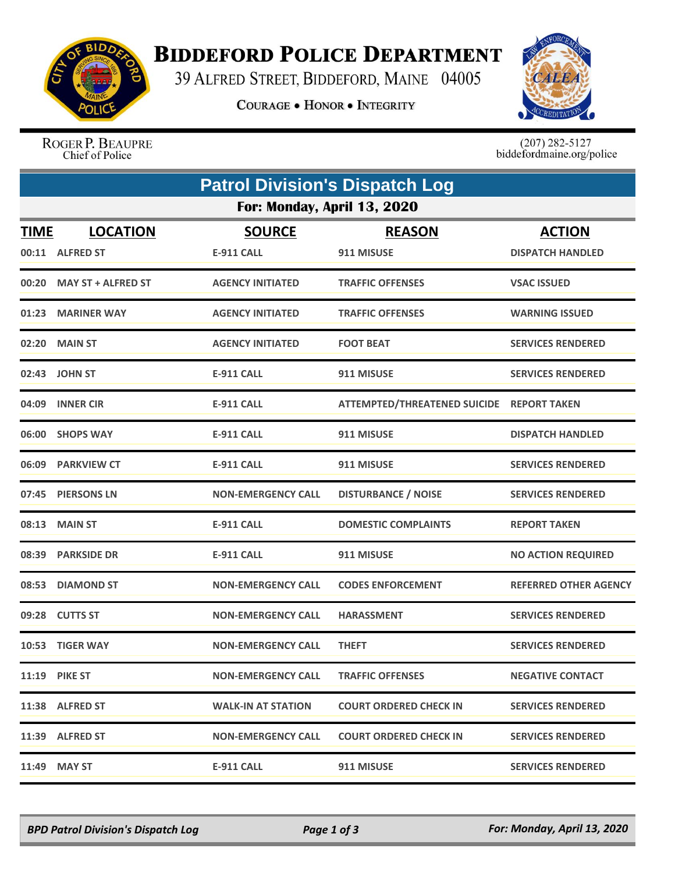

## **BIDDEFORD POLICE DEPARTMENT**

39 ALFRED STREET, BIDDEFORD, MAINE 04005

**COURAGE . HONOR . INTEGRITY** 



ROGER P. BEAUPRE Chief of Police

 $(207)$  282-5127<br>biddefordmaine.org/police

|                             | <b>Patrol Division's Dispatch Log</b> |                                    |                                           |                                          |  |  |  |
|-----------------------------|---------------------------------------|------------------------------------|-------------------------------------------|------------------------------------------|--|--|--|
| For: Monday, April 13, 2020 |                                       |                                    |                                           |                                          |  |  |  |
| <b>TIME</b>                 | <b>LOCATION</b><br>00:11 ALFRED ST    | <b>SOURCE</b><br><b>E-911 CALL</b> | <b>REASON</b><br>911 MISUSE               | <b>ACTION</b><br><b>DISPATCH HANDLED</b> |  |  |  |
| 00:20                       | <b>MAY ST + ALFRED ST</b>             | <b>AGENCY INITIATED</b>            | <b>TRAFFIC OFFENSES</b>                   |                                          |  |  |  |
|                             |                                       |                                    |                                           | <b>VSAC ISSUED</b>                       |  |  |  |
| 01:23                       | <b>MARINER WAY</b>                    | <b>AGENCY INITIATED</b>            | <b>TRAFFIC OFFENSES</b>                   | <b>WARNING ISSUED</b>                    |  |  |  |
|                             | 02:20 MAIN ST                         | <b>AGENCY INITIATED</b>            | <b>FOOT BEAT</b>                          | <b>SERVICES RENDERED</b>                 |  |  |  |
| 02:43                       | <b>JOHN ST</b>                        | <b>E-911 CALL</b>                  | 911 MISUSE                                | <b>SERVICES RENDERED</b>                 |  |  |  |
| 04:09                       | <b>INNER CIR</b>                      | <b>E-911 CALL</b>                  | ATTEMPTED/THREATENED SUICIDE REPORT TAKEN |                                          |  |  |  |
|                             | 06:00 SHOPS WAY                       | <b>E-911 CALL</b>                  | 911 MISUSE                                | <b>DISPATCH HANDLED</b>                  |  |  |  |
| 06:09                       | <b>PARKVIEW CT</b>                    | <b>E-911 CALL</b>                  | 911 MISUSE                                | <b>SERVICES RENDERED</b>                 |  |  |  |
| 07:45                       | <b>PIERSONS LN</b>                    | <b>NON-EMERGENCY CALL</b>          | <b>DISTURBANCE / NOISE</b>                | <b>SERVICES RENDERED</b>                 |  |  |  |
| 08:13                       | <b>MAIN ST</b>                        | <b>E-911 CALL</b>                  | <b>DOMESTIC COMPLAINTS</b>                | <b>REPORT TAKEN</b>                      |  |  |  |
| 08:39                       | <b>PARKSIDE DR</b>                    | <b>E-911 CALL</b>                  | 911 MISUSE                                | <b>NO ACTION REQUIRED</b>                |  |  |  |
| 08:53                       | <b>DIAMOND ST</b>                     | <b>NON-EMERGENCY CALL</b>          | <b>CODES ENFORCEMENT</b>                  | <b>REFERRED OTHER AGENCY</b>             |  |  |  |
|                             | 09:28 CUTTS ST                        | <b>NON-EMERGENCY CALL</b>          | <b>HARASSMENT</b>                         | <b>SERVICES RENDERED</b>                 |  |  |  |
|                             | 10:53 TIGER WAY                       | <b>NON-EMERGENCY CALL</b>          | <b>THEFT</b>                              | <b>SERVICES RENDERED</b>                 |  |  |  |
|                             | <b>11:19 PIKE ST</b>                  | <b>NON-EMERGENCY CALL</b>          | <b>TRAFFIC OFFENSES</b>                   | <b>NEGATIVE CONTACT</b>                  |  |  |  |
|                             | 11:38 ALFRED ST                       | <b>WALK-IN AT STATION</b>          | <b>COURT ORDERED CHECK IN</b>             | <b>SERVICES RENDERED</b>                 |  |  |  |
|                             | 11:39 ALFRED ST                       | <b>NON-EMERGENCY CALL</b>          | <b>COURT ORDERED CHECK IN</b>             | <b>SERVICES RENDERED</b>                 |  |  |  |
|                             | 11:49 MAY ST                          | <b>E-911 CALL</b>                  | 911 MISUSE                                | <b>SERVICES RENDERED</b>                 |  |  |  |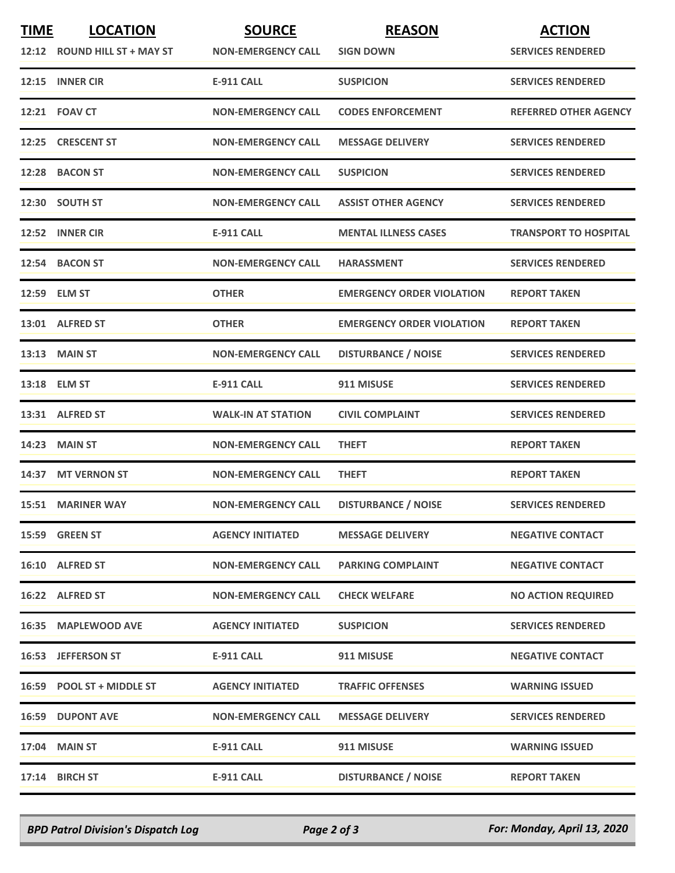| <b>TIME</b> | <b>LOCATION</b>              | <b>SOURCE</b>             | <b>REASON</b>                    | <b>ACTION</b>                |
|-------------|------------------------------|---------------------------|----------------------------------|------------------------------|
|             | 12:12 ROUND HILL ST + MAY ST | <b>NON-EMERGENCY CALL</b> | <b>SIGN DOWN</b>                 | <b>SERVICES RENDERED</b>     |
|             | 12:15 INNER CIR              | <b>E-911 CALL</b>         | <b>SUSPICION</b>                 | <b>SERVICES RENDERED</b>     |
|             | 12:21 FOAV CT                | <b>NON-EMERGENCY CALL</b> | <b>CODES ENFORCEMENT</b>         | <b>REFERRED OTHER AGENCY</b> |
|             | 12:25 CRESCENT ST            | <b>NON-EMERGENCY CALL</b> | <b>MESSAGE DELIVERY</b>          | <b>SERVICES RENDERED</b>     |
|             | 12:28 BACON ST               | <b>NON-EMERGENCY CALL</b> | <b>SUSPICION</b>                 | <b>SERVICES RENDERED</b>     |
|             | 12:30 SOUTH ST               | <b>NON-EMERGENCY CALL</b> | <b>ASSIST OTHER AGENCY</b>       | <b>SERVICES RENDERED</b>     |
|             | 12:52 INNER CIR              | <b>E-911 CALL</b>         | <b>MENTAL ILLNESS CASES</b>      | <b>TRANSPORT TO HOSPITAL</b> |
|             | 12:54 BACON ST               | <b>NON-EMERGENCY CALL</b> | <b>HARASSMENT</b>                | <b>SERVICES RENDERED</b>     |
|             | 12:59 ELM ST                 | <b>OTHER</b>              | <b>EMERGENCY ORDER VIOLATION</b> | <b>REPORT TAKEN</b>          |
|             | 13:01 ALFRED ST              | <b>OTHER</b>              | <b>EMERGENCY ORDER VIOLATION</b> | <b>REPORT TAKEN</b>          |
|             | $13:13$ MAIN ST              | <b>NON-EMERGENCY CALL</b> | <b>DISTURBANCE / NOISE</b>       | <b>SERVICES RENDERED</b>     |
|             | 13:18 ELM ST                 | <b>E-911 CALL</b>         | 911 MISUSE                       | <b>SERVICES RENDERED</b>     |
|             | 13:31 ALFRED ST              | <b>WALK-IN AT STATION</b> | <b>CIVIL COMPLAINT</b>           | <b>SERVICES RENDERED</b>     |
|             | <b>14:23 MAIN ST</b>         | <b>NON-EMERGENCY CALL</b> | <b>THEFT</b>                     | <b>REPORT TAKEN</b>          |
|             | 14:37 MT VERNON ST           | <b>NON-EMERGENCY CALL</b> | <b>THEFT</b>                     | <b>REPORT TAKEN</b>          |
|             | <b>15:51 MARINER WAY</b>     | <b>NON-EMERGENCY CALL</b> | <b>DISTURBANCE / NOISE</b>       | <b>SERVICES RENDERED</b>     |
|             | 15:59 GREEN ST               | <b>AGENCY INITIATED</b>   | <b>MESSAGE DELIVERY</b>          | <b>NEGATIVE CONTACT</b>      |
|             | 16:10 ALFRED ST              | <b>NON-EMERGENCY CALL</b> | <b>PARKING COMPLAINT</b>         | <b>NEGATIVE CONTACT</b>      |
|             | 16:22 ALFRED ST              | <b>NON-EMERGENCY CALL</b> | <b>CHECK WELFARE</b>             | <b>NO ACTION REQUIRED</b>    |
|             | 16:35 MAPLEWOOD AVE          | <b>AGENCY INITIATED</b>   | <b>SUSPICION</b>                 | <b>SERVICES RENDERED</b>     |
|             | 16:53 JEFFERSON ST           | <b>E-911 CALL</b>         | 911 MISUSE                       | <b>NEGATIVE CONTACT</b>      |
|             | 16:59 POOL ST + MIDDLE ST    | <b>AGENCY INITIATED</b>   | <b>TRAFFIC OFFENSES</b>          | <b>WARNING ISSUED</b>        |
|             | <b>16:59 DUPONT AVE</b>      | <b>NON-EMERGENCY CALL</b> | <b>MESSAGE DELIVERY</b>          | <b>SERVICES RENDERED</b>     |
|             | 17:04 MAIN ST                | <b>E-911 CALL</b>         | 911 MISUSE                       | <b>WARNING ISSUED</b>        |
|             | 17:14 BIRCH ST               | E-911 CALL                | <b>DISTURBANCE / NOISE</b>       | <b>REPORT TAKEN</b>          |

*BPD Patrol Division's Dispatch Log Page 2 of 3 For: Monday, April 13, 2020*